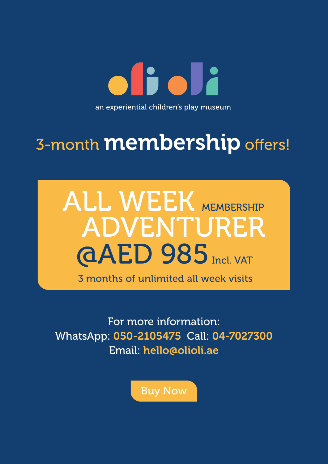oficia an experiential children's play museum

## 3-month **membership** offers!

## **GAED 985** Incl. VAT ALL WEEK MEMBERSHIP ADVENTURER

3 months of unlimited all week visits

For more information: WhatsApp: 050-2105475 Call: 04-7027300 Email: hello@olioli.ae